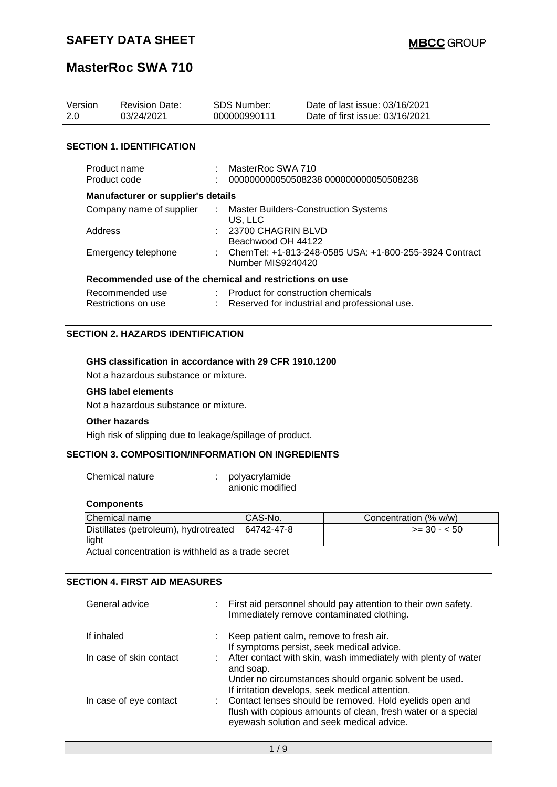## **MasterRoc SWA 710**

| Version<br>2.0 | <b>Revision Date:</b><br>03/24/2021                     | <b>SDS Number:</b><br>000000990111         | Date of last issue: 03/16/2021<br>Date of first issue: 03/16/2021 |
|----------------|---------------------------------------------------------|--------------------------------------------|-------------------------------------------------------------------|
|                | <b>SECTION 1. IDENTIFICATION</b>                        |                                            |                                                                   |
|                | Product name<br>Product code                            | MasterRoc SWA 710                          | 000000000050508238 000000000050508238                             |
|                | Manufacturer or supplier's details                      |                                            |                                                                   |
|                | Company name of supplier                                | US, LLC                                    | : Master Builders-Construction Systems                            |
| Address        |                                                         | : 23700 CHAGRIN BLVD<br>Beachwood OH 44122 |                                                                   |
|                | Emergency telephone                                     | Number MIS9240420                          | : ChemTel: +1-813-248-0585 USA: +1-800-255-3924 Contract          |
|                | Recommended use of the chemical and restrictions on use |                                            |                                                                   |
|                | Recommended use                                         | : Product for construction chemicals       |                                                                   |
|                | Restrictions on use                                     |                                            | Reserved for industrial and professional use.                     |

#### **SECTION 2. HAZARDS IDENTIFICATION**

#### **GHS classification in accordance with 29 CFR 1910.1200**

Not a hazardous substance or mixture.

#### **GHS label elements**

Not a hazardous substance or mixture.

#### **Other hazards**

High risk of slipping due to leakage/spillage of product.

#### **SECTION 3. COMPOSITION/INFORMATION ON INGREDIENTS**

Chemical nature : polyacrylamide anionic modified

#### **Components**

| Chemical name                         | ICAS-No.   | Concentration (% w/w) |
|---------------------------------------|------------|-----------------------|
| Distillates (petroleum), hydrotreated | 64742-47-8 | $>=$ 30 - $<$ 50      |
| light                                 |            |                       |

Actual concentration is withheld as a trade secret

### **SECTION 4. FIRST AID MEASURES**

| General advice          | : First aid personnel should pay attention to their own safety.<br>Immediately remove contaminated clothing.                                                            |
|-------------------------|-------------------------------------------------------------------------------------------------------------------------------------------------------------------------|
| If inhaled              | : Keep patient calm, remove to fresh air.                                                                                                                               |
|                         | If symptoms persist, seek medical advice.                                                                                                                               |
| In case of skin contact | : After contact with skin, wash immediately with plenty of water<br>and soap.                                                                                           |
|                         | Under no circumstances should organic solvent be used.<br>If irritation develops, seek medical attention.                                                               |
| In case of eye contact  | : Contact lenses should be removed. Hold eyelids open and<br>flush with copious amounts of clean, fresh water or a special<br>eyewash solution and seek medical advice. |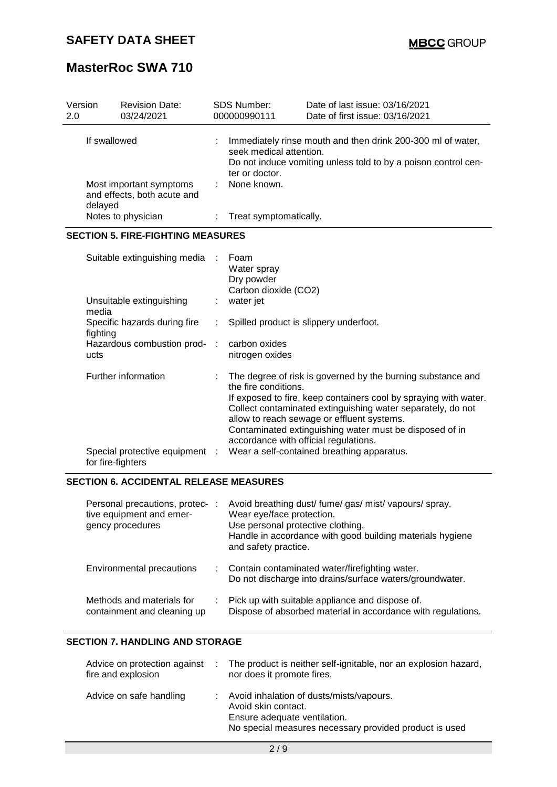| Version<br>2.0 |                                                                   | <b>Revision Date:</b><br>03/24/2021                                                                                                                                        | <b>SDS Number:</b><br>000000990111                        | Date of last issue: 03/16/2021<br>Date of first issue: 03/16/2021                                                                                                                                                                                                                                                                                                                              |  |  |
|----------------|-------------------------------------------------------------------|----------------------------------------------------------------------------------------------------------------------------------------------------------------------------|-----------------------------------------------------------|------------------------------------------------------------------------------------------------------------------------------------------------------------------------------------------------------------------------------------------------------------------------------------------------------------------------------------------------------------------------------------------------|--|--|
| If swallowed   |                                                                   | Immediately rinse mouth and then drink 200-300 ml of water,<br>seek medical attention.<br>Do not induce vomiting unless told to by a poison control cen-<br>ter or doctor. |                                                           |                                                                                                                                                                                                                                                                                                                                                                                                |  |  |
|                | Most important symptoms<br>and effects, both acute and<br>delayed |                                                                                                                                                                            | None known.                                               |                                                                                                                                                                                                                                                                                                                                                                                                |  |  |
|                |                                                                   | Notes to physician                                                                                                                                                         | Treat symptomatically.                                    |                                                                                                                                                                                                                                                                                                                                                                                                |  |  |
|                |                                                                   | <b>SECTION 5. FIRE-FIGHTING MEASURES</b>                                                                                                                                   |                                                           |                                                                                                                                                                                                                                                                                                                                                                                                |  |  |
|                |                                                                   | Suitable extinguishing media                                                                                                                                               | Foam<br>Water spray<br>Dry powder<br>Carbon dioxide (CO2) |                                                                                                                                                                                                                                                                                                                                                                                                |  |  |
|                | Unsuitable extinguishing<br>media                                 |                                                                                                                                                                            | water jet                                                 |                                                                                                                                                                                                                                                                                                                                                                                                |  |  |
|                | Specific hazards during fire<br>fighting                          |                                                                                                                                                                            |                                                           | Spilled product is slippery underfoot.                                                                                                                                                                                                                                                                                                                                                         |  |  |
|                | ucts                                                              | Hazardous combustion prod-                                                                                                                                                 | carbon oxides<br>nitrogen oxides                          |                                                                                                                                                                                                                                                                                                                                                                                                |  |  |
|                |                                                                   | Further information<br>Special protective equipment :                                                                                                                      | the fire conditions.                                      | The degree of risk is governed by the burning substance and<br>If exposed to fire, keep containers cool by spraying with water.<br>Collect contaminated extinguishing water separately, do not<br>allow to reach sewage or effluent systems.<br>Contaminated extinguishing water must be disposed of in<br>accordance with official regulations.<br>Wear a self-contained breathing apparatus. |  |  |
|                |                                                                   | for fire-fighters                                                                                                                                                          |                                                           |                                                                                                                                                                                                                                                                                                                                                                                                |  |  |

### **SECTION 6. ACCIDENTAL RELEASE MEASURES**

| Personal precautions, protec- :<br>tive equipment and emer-<br>gency procedures | Avoid breathing dust/ fume/ gas/ mist/ vapours/ spray.<br>Wear eye/face protection.<br>Use personal protective clothing.<br>Handle in accordance with good building materials hygiene<br>and safety practice. |
|---------------------------------------------------------------------------------|---------------------------------------------------------------------------------------------------------------------------------------------------------------------------------------------------------------|
| <b>Environmental precautions</b>                                                | : Contain contaminated water/firefighting water.<br>Do not discharge into drains/surface waters/groundwater.                                                                                                  |
| Methods and materials for<br>containment and cleaning up                        | : Pick up with suitable appliance and dispose of.<br>Dispose of absorbed material in accordance with regulations.                                                                                             |

### **SECTION 7. HANDLING AND STORAGE**

| Advice on protection against<br>fire and explosion | in 1999. | The product is neither self-ignitable, nor an explosion hazard,<br>nor does it promote fires.                                                             |
|----------------------------------------------------|----------|-----------------------------------------------------------------------------------------------------------------------------------------------------------|
| Advice on safe handling                            |          | Avoid inhalation of dusts/mists/vapours.<br>Avoid skin contact.<br>Ensure adequate ventilation.<br>No special measures necessary provided product is used |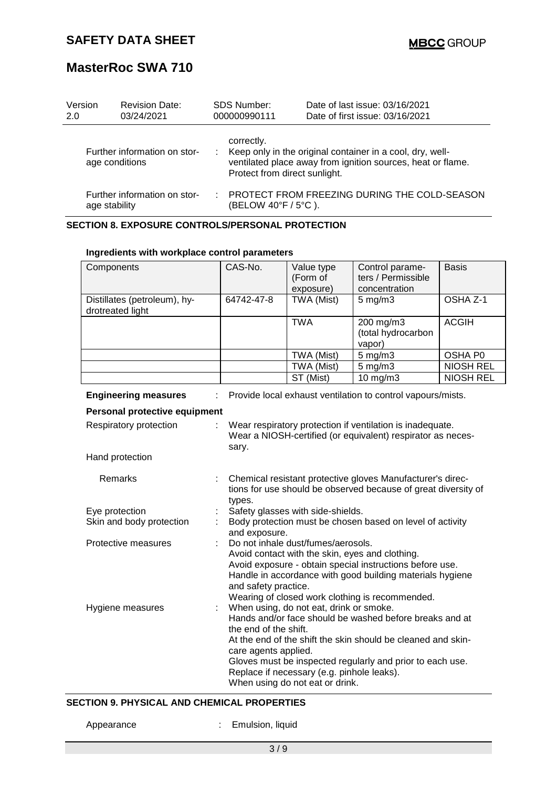| Version<br>2.0 | <b>Revision Date:</b><br>03/24/2021            | <b>SDS Number:</b><br>000000990111          | Date of last issue: 03/16/2021<br>Date of first issue: 03/16/2021                                                        |
|----------------|------------------------------------------------|---------------------------------------------|--------------------------------------------------------------------------------------------------------------------------|
|                | Further information on stor-<br>age conditions | correctly.<br>Protect from direct sunlight. | Keep only in the original container in a cool, dry, well-<br>ventilated place away from ignition sources, heat or flame. |
|                | Further information on stor-<br>age stability  | (BELOW 40°F / 5°C).                         | PROTECT FROM FREEZING DURING THE COLD-SEASON                                                                             |

### **SECTION 8. EXPOSURE CONTROLS/PERSONAL PROTECTION**

| Components                           | CAS-No.                                                                                        | Value type                                 | Control parame-                                                | <b>Basis</b>     |  |  |
|--------------------------------------|------------------------------------------------------------------------------------------------|--------------------------------------------|----------------------------------------------------------------|------------------|--|--|
|                                      |                                                                                                | (Form of                                   | ters / Permissible                                             |                  |  |  |
|                                      |                                                                                                | exposure)                                  | concentration                                                  |                  |  |  |
| Distillates (petroleum), hy-         | 64742-47-8                                                                                     | TWA (Mist)                                 | $5 \text{ mg/m}$ 3                                             | OSHA Z-1         |  |  |
| drotreated light                     |                                                                                                |                                            |                                                                |                  |  |  |
|                                      |                                                                                                | <b>TWA</b>                                 | 200 mg/m3                                                      | <b>ACGIH</b>     |  |  |
|                                      |                                                                                                |                                            | (total hydrocarbon                                             |                  |  |  |
|                                      |                                                                                                |                                            | vapor)                                                         |                  |  |  |
|                                      |                                                                                                | TWA (Mist)                                 | $5$ mg/m $3$                                                   | OSHA P0          |  |  |
|                                      |                                                                                                | TWA (Mist)                                 | $5$ mg/m $3$                                                   | <b>NIOSH REL</b> |  |  |
|                                      |                                                                                                | ST (Mist)                                  | $10$ mg/m $3$                                                  | <b>NIOSH REL</b> |  |  |
| <b>Engineering measures</b>          |                                                                                                |                                            | Provide local exhaust ventilation to control vapours/mists.    |                  |  |  |
| <b>Personal protective equipment</b> |                                                                                                |                                            |                                                                |                  |  |  |
| Respiratory protection               |                                                                                                |                                            | Wear respiratory protection if ventilation is inadequate.      |                  |  |  |
|                                      |                                                                                                |                                            | Wear a NIOSH-certified (or equivalent) respirator as neces-    |                  |  |  |
|                                      | sary.                                                                                          |                                            |                                                                |                  |  |  |
| Hand protection                      |                                                                                                |                                            |                                                                |                  |  |  |
|                                      |                                                                                                |                                            |                                                                |                  |  |  |
| Remarks                              |                                                                                                |                                            | Chemical resistant protective gloves Manufacturer's direc-     |                  |  |  |
|                                      | types.                                                                                         |                                            | tions for use should be observed because of great diversity of |                  |  |  |
| Eye protection                       |                                                                                                |                                            |                                                                |                  |  |  |
| Skin and body protection             | Safety glasses with side-shields.<br>Body protection must be chosen based on level of activity |                                            |                                                                |                  |  |  |
|                                      | and exposure.                                                                                  |                                            |                                                                |                  |  |  |
| Protective measures                  |                                                                                                | Do not inhale dust/fumes/aerosols.         |                                                                |                  |  |  |
|                                      |                                                                                                |                                            | Avoid contact with the skin, eyes and clothing.                |                  |  |  |
|                                      |                                                                                                |                                            | Avoid exposure - obtain special instructions before use.       |                  |  |  |
|                                      |                                                                                                |                                            | Handle in accordance with good building materials hygiene      |                  |  |  |
|                                      | and safety practice.                                                                           |                                            |                                                                |                  |  |  |
|                                      |                                                                                                |                                            | Wearing of closed work clothing is recommended.                |                  |  |  |
| Hygiene measures                     |                                                                                                | When using, do not eat, drink or smoke.    |                                                                |                  |  |  |
|                                      | the end of the shift.                                                                          |                                            | Hands and/or face should be washed before breaks and at        |                  |  |  |
|                                      | care agents applied.                                                                           |                                            | At the end of the shift the skin should be cleaned and skin-   |                  |  |  |
|                                      |                                                                                                |                                            | Gloves must be inspected regularly and prior to each use.      |                  |  |  |
|                                      |                                                                                                | Replace if necessary (e.g. pinhole leaks). |                                                                |                  |  |  |
|                                      |                                                                                                | When using do not eat or drink.            |                                                                |                  |  |  |

#### **Ingredients with workplace control parameters**

### **SECTION 9. PHYSICAL AND CHEMICAL PROPERTIES**

Appearance : Emulsion, liquid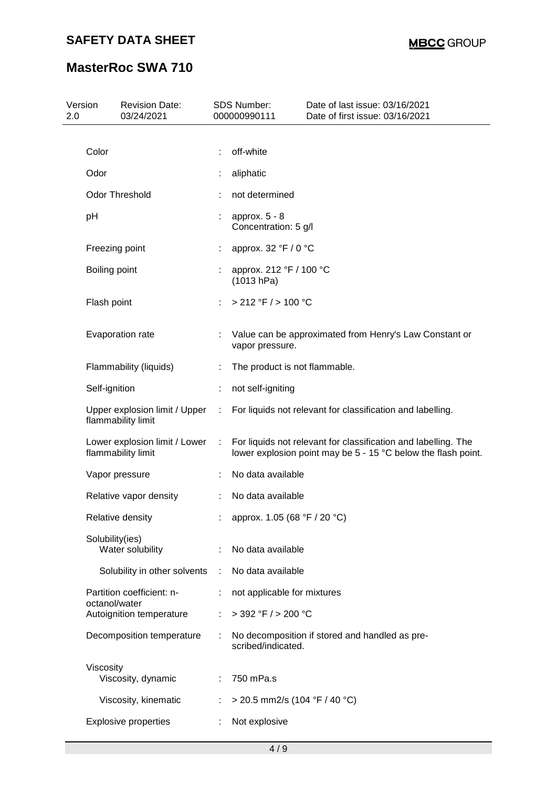| 2.0 | Version<br><b>Revision Date:</b><br>03/24/2021      |   |   | <b>SDS Number:</b><br>000000990111      | Date of last issue: 03/16/2021<br>Date of first issue: 03/16/2021                                                               |
|-----|-----------------------------------------------------|---|---|-----------------------------------------|---------------------------------------------------------------------------------------------------------------------------------|
|     |                                                     |   |   |                                         |                                                                                                                                 |
|     | Color                                               |   |   | off-white                               |                                                                                                                                 |
|     | Odor                                                |   |   | aliphatic                               |                                                                                                                                 |
|     | <b>Odor Threshold</b>                               |   |   | not determined                          |                                                                                                                                 |
|     | pH                                                  |   |   | approx. $5 - 8$<br>Concentration: 5 g/l |                                                                                                                                 |
|     | Freezing point                                      |   |   | approx. 32 °F / 0 °C                    |                                                                                                                                 |
|     | Boiling point                                       |   |   | approx. 212 °F / 100 °C<br>(1013 hPa)   |                                                                                                                                 |
|     | Flash point                                         |   |   | > 212 °F / > 100 °C                     |                                                                                                                                 |
|     | Evaporation rate                                    |   |   | vapor pressure.                         | Value can be approximated from Henry's Law Constant or                                                                          |
|     | Flammability (liquids)                              | ÷ |   | The product is not flammable.           |                                                                                                                                 |
|     | Self-ignition                                       | ÷ |   | not self-igniting                       |                                                                                                                                 |
|     | Upper explosion limit / Upper<br>flammability limit | ÷ |   |                                         | For liquids not relevant for classification and labelling.                                                                      |
|     | Lower explosion limit / Lower<br>flammability limit | ÷ |   |                                         | For liquids not relevant for classification and labelling. The<br>lower explosion point may be 5 - 15 °C below the flash point. |
|     | Vapor pressure                                      |   |   | No data available                       |                                                                                                                                 |
|     | Relative vapor density                              |   |   | No data available                       |                                                                                                                                 |
|     | Relative density                                    |   |   | approx. 1.05 (68 °F / 20 °C)            |                                                                                                                                 |
|     | Solubility(ies)<br>Water solubility                 |   |   | No data available                       |                                                                                                                                 |
|     | Solubility in other solvents                        | ÷ |   | No data available                       |                                                                                                                                 |
|     | Partition coefficient: n-                           | ÷ |   | not applicable for mixtures             |                                                                                                                                 |
|     | octanol/water<br>Autoignition temperature           | ÷ |   | $>$ 392 °F / $>$ 200 °C                 |                                                                                                                                 |
|     | Decomposition temperature                           | ÷ |   | scribed/indicated.                      | No decomposition if stored and handled as pre-                                                                                  |
|     | Viscosity                                           |   |   |                                         |                                                                                                                                 |
|     | Viscosity, dynamic                                  |   | ÷ | 750 mPa.s                               |                                                                                                                                 |
|     | Viscosity, kinematic                                |   |   | $>$ 20.5 mm2/s (104 °F / 40 °C)         |                                                                                                                                 |
|     | <b>Explosive properties</b>                         |   |   | Not explosive                           |                                                                                                                                 |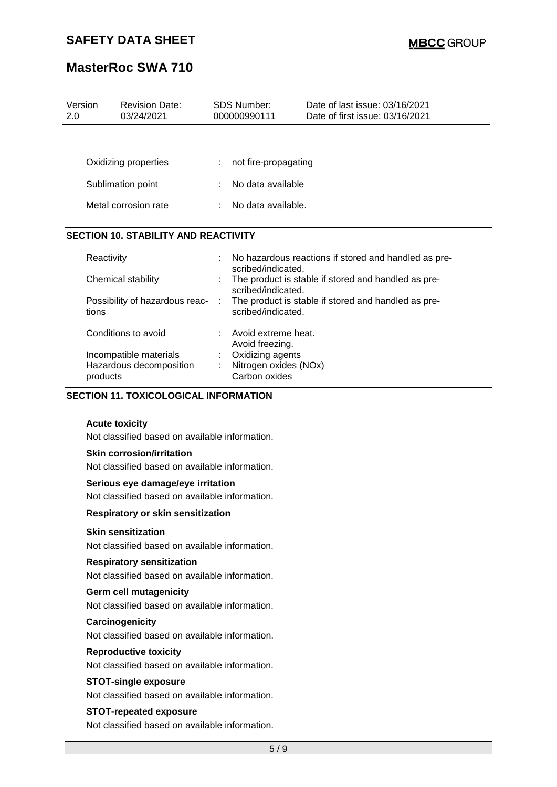## **MasterRoc SWA 710**

| Version<br>2.0 | <b>Revision Date:</b><br>03/24/2021         | <b>SDS Number:</b><br>000000990111 |                                        | Date of last issue: 03/16/2021<br>Date of first issue: 03/16/2021 |
|----------------|---------------------------------------------|------------------------------------|----------------------------------------|-------------------------------------------------------------------|
|                |                                             |                                    |                                        |                                                                   |
|                | Oxidizing properties                        |                                    | not fire-propagating                   |                                                                   |
|                | Sublimation point                           |                                    | No data available                      |                                                                   |
|                | Metal corrosion rate                        |                                    | : No data available.                   |                                                                   |
|                | <b>SECTION 10. STABILITY AND REACTIVITY</b> |                                    |                                        |                                                                   |
|                | Reactivity                                  | ÷                                  | scribed/indicated.                     | No hazardous reactions if stored and handled as pre-              |
|                | Chemical stability                          |                                    | scribed/indicated.                     | The product is stable if stored and handled as pre-               |
| tions          | Possibility of hazardous reac-              | ÷                                  | scribed/indicated.                     | The product is stable if stored and handled as pre-               |
|                | Conditions to avoid                         |                                    | Avoid extreme heat.<br>Avoid freezing. |                                                                   |
|                | Incompatible materials                      |                                    | Oxidizing agents                       |                                                                   |
|                | Hazardous decomposition<br>products         |                                    | Nitrogen oxides (NOx)<br>Carbon oxides |                                                                   |

#### **SECTION 11. TOXICOLOGICAL INFORMATION**

#### **Acute toxicity**

Not classified based on available information.

#### **Skin corrosion/irritation**

Not classified based on available information.

#### **Serious eye damage/eye irritation**

Not classified based on available information.

#### **Respiratory or skin sensitization**

#### **Skin sensitization**

Not classified based on available information.

#### **Respiratory sensitization**

Not classified based on available information.

#### **Germ cell mutagenicity**

Not classified based on available information.

#### **Carcinogenicity**

Not classified based on available information.

#### **Reproductive toxicity**

Not classified based on available information.

#### **STOT-single exposure**

Not classified based on available information.

#### **STOT-repeated exposure**

Not classified based on available information.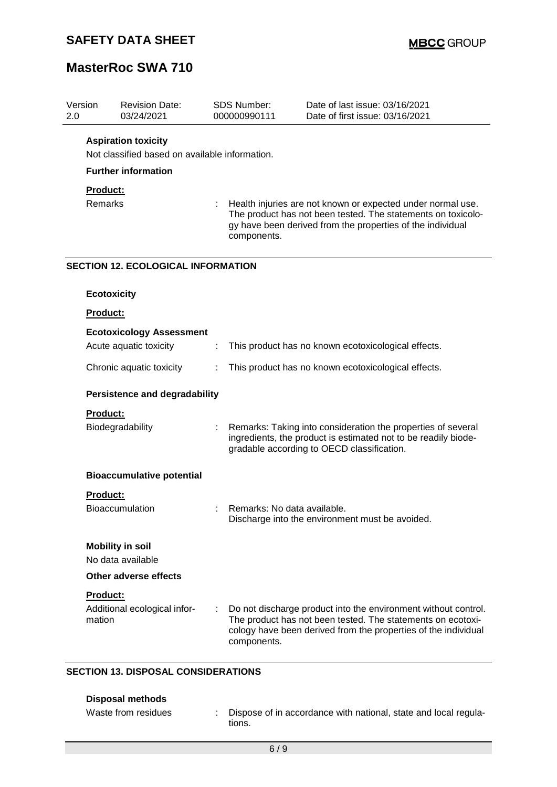## **MasterRoc SWA 710**

| Version<br>2.0  | <b>Revision Date:</b><br>03/24/2021            |   | <b>SDS Number:</b><br>000000990111 | Date of last issue: 03/16/2021<br>Date of first issue: 03/16/2021                                                                                                                               |
|-----------------|------------------------------------------------|---|------------------------------------|-------------------------------------------------------------------------------------------------------------------------------------------------------------------------------------------------|
|                 | <b>Aspiration toxicity</b>                     |   |                                    |                                                                                                                                                                                                 |
|                 | Not classified based on available information. |   |                                    |                                                                                                                                                                                                 |
|                 | <b>Further information</b>                     |   |                                    |                                                                                                                                                                                                 |
| Product:        |                                                |   |                                    |                                                                                                                                                                                                 |
| <b>Remarks</b>  |                                                |   | components.                        | Health injuries are not known or expected under normal use.<br>The product has not been tested. The statements on toxicolo-<br>gy have been derived from the properties of the individual       |
|                 | <b>SECTION 12. ECOLOGICAL INFORMATION</b>      |   |                                    |                                                                                                                                                                                                 |
|                 | <b>Ecotoxicity</b>                             |   |                                    |                                                                                                                                                                                                 |
| <b>Product:</b> |                                                |   |                                    |                                                                                                                                                                                                 |
|                 | <b>Ecotoxicology Assessment</b>                |   |                                    |                                                                                                                                                                                                 |
|                 | Acute aquatic toxicity                         | ÷ |                                    | This product has no known ecotoxicological effects.                                                                                                                                             |
|                 | Chronic aquatic toxicity                       |   |                                    | This product has no known ecotoxicological effects.                                                                                                                                             |
|                 | <b>Persistence and degradability</b>           |   |                                    |                                                                                                                                                                                                 |
| Product:        |                                                |   |                                    |                                                                                                                                                                                                 |
|                 | Biodegradability                               |   |                                    | Remarks: Taking into consideration the properties of several<br>ingredients, the product is estimated not to be readily biode-<br>gradable according to OECD classification.                    |
|                 | <b>Bioaccumulative potential</b>               |   |                                    |                                                                                                                                                                                                 |
| Product:        |                                                |   |                                    |                                                                                                                                                                                                 |
|                 | <b>Bioaccumulation</b>                         |   | Remarks: No data available.        | Discharge into the environment must be avoided.                                                                                                                                                 |
|                 | <b>Mobility in soil</b><br>No data available   |   |                                    |                                                                                                                                                                                                 |
|                 | <b>Other adverse effects</b>                   |   |                                    |                                                                                                                                                                                                 |
| Product:        |                                                |   |                                    |                                                                                                                                                                                                 |
| mation          | Additional ecological infor-                   |   | components.                        | Do not discharge product into the environment without control.<br>The product has not been tested. The statements on ecotoxi-<br>cology have been derived from the properties of the individual |

### **SECTION 13. DISPOSAL CONSIDERATIONS**

| Disposal methods    |                                                                           |
|---------------------|---------------------------------------------------------------------------|
| Waste from residues | Dispose of in accordance with national, state and local regula-<br>tions. |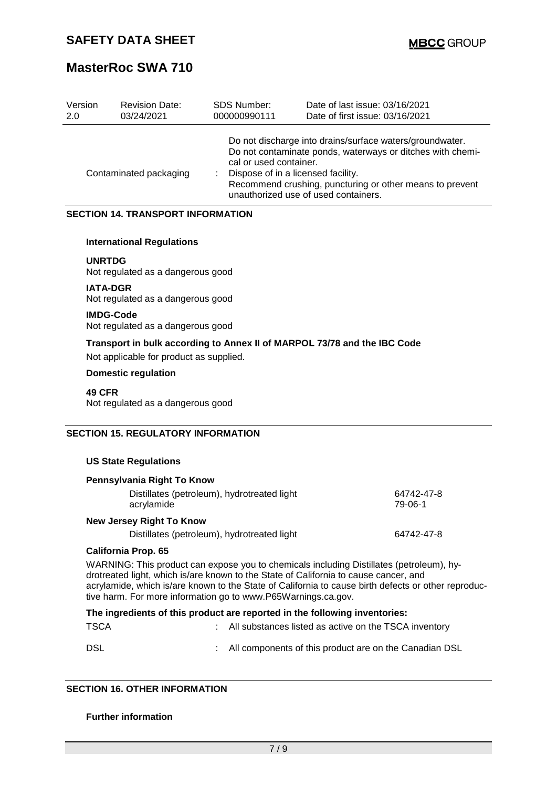| Version | <b>Revision Date:</b>  | <b>SDS Number:</b>                                           | Date of last issue: 03/16/2021                                                                                                                                                                                             |
|---------|------------------------|--------------------------------------------------------------|----------------------------------------------------------------------------------------------------------------------------------------------------------------------------------------------------------------------------|
| 2.0     | 03/24/2021             | 000000990111                                                 | Date of first issue: 03/16/2021                                                                                                                                                                                            |
|         | Contaminated packaging | cal or used container.<br>Dispose of in a licensed facility. | Do not discharge into drains/surface waters/groundwater.<br>Do not contaminate ponds, waterways or ditches with chemi-<br>Recommend crushing, puncturing or other means to prevent<br>unauthorized use of used containers. |

### **SECTION 14. TRANSPORT INFORMATION**

#### **International Regulations**

**UNRTDG** Not regulated as a dangerous good

**IATA-DGR** Not regulated as a dangerous good

**IMDG-Code**

Not regulated as a dangerous good

**Transport in bulk according to Annex II of MARPOL 73/78 and the IBC Code**

Not applicable for product as supplied.

#### **Domestic regulation**

**49 CFR**

Not regulated as a dangerous good

#### **SECTION 15. REGULATORY INFORMATION**

#### **US State Regulations**

| Pennsylvania Right To Know                                |                       |  |  |  |  |  |
|-----------------------------------------------------------|-----------------------|--|--|--|--|--|
| Distillates (petroleum), hydrotreated light<br>acrylamide | 64742-47-8<br>79-06-1 |  |  |  |  |  |
| New Jersey Right To Know                                  |                       |  |  |  |  |  |
| Distillates (petroleum), hydrotreated light               | 64742-47-8            |  |  |  |  |  |

#### **California Prop. 65**

WARNING: This product can expose you to chemicals including Distillates (petroleum), hydrotreated light, which is/are known to the State of California to cause cancer, and acrylamide, which is/are known to the State of California to cause birth defects or other reproductive harm. For more information go to www.P65Warnings.ca.gov.

#### **The ingredients of this product are reported in the following inventories:**

| <b>TSCA</b> | : All substances listed as active on the TSCA inventory  |
|-------------|----------------------------------------------------------|
| DSL         | : All components of this product are on the Canadian DSL |

### **SECTION 16. OTHER INFORMATION**

#### **Further information**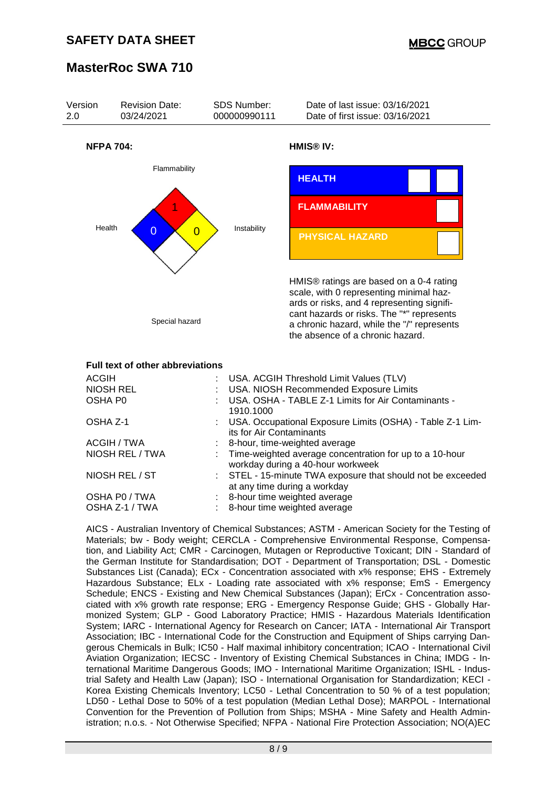

| AUGIN           | USA. AUGILI THESHOID LIIHII VAIUES (TLV)                                                       |
|-----------------|------------------------------------------------------------------------------------------------|
| NIOSH REL       | : USA. NIOSH Recommended Exposure Limits                                                       |
| OSHA P0         | USA. OSHA - TABLE Z-1 Limits for Air Contaminants -<br>1910.1000                               |
| OSHA Z-1        | : USA. Occupational Exposure Limits (OSHA) - Table Z-1 Lim-<br>its for Air Contaminants        |
| ACGIH / TWA     | : 8-hour, time-weighted average                                                                |
| NIOSH REL / TWA | : Time-weighted average concentration for up to a 10-hour<br>workday during a 40-hour workweek |
| NIOSH REL / ST  | : STEL - 15-minute TWA exposure that should not be exceeded<br>at any time during a workday    |
| OSHA P0 / TWA   | : 8-hour time weighted average                                                                 |
| OSHA Z-1 / TWA  | 8-hour time weighted average                                                                   |
|                 |                                                                                                |

AICS - Australian Inventory of Chemical Substances; ASTM - American Society for the Testing of Materials; bw - Body weight; CERCLA - Comprehensive Environmental Response, Compensation, and Liability Act; CMR - Carcinogen, Mutagen or Reproductive Toxicant; DIN - Standard of the German Institute for Standardisation; DOT - Department of Transportation; DSL - Domestic Substances List (Canada); ECx - Concentration associated with x% response; EHS - Extremely Hazardous Substance; ELx - Loading rate associated with x% response; EmS - Emergency Schedule; ENCS - Existing and New Chemical Substances (Japan); ErCx - Concentration associated with x% growth rate response; ERG - Emergency Response Guide; GHS - Globally Harmonized System; GLP - Good Laboratory Practice; HMIS - Hazardous Materials Identification System; IARC - International Agency for Research on Cancer; IATA - International Air Transport Association; IBC - International Code for the Construction and Equipment of Ships carrying Dangerous Chemicals in Bulk; IC50 - Half maximal inhibitory concentration; ICAO - International Civil Aviation Organization; IECSC - Inventory of Existing Chemical Substances in China; IMDG - International Maritime Dangerous Goods; IMO - International Maritime Organization; ISHL - Industrial Safety and Health Law (Japan); ISO - International Organisation for Standardization; KECI - Korea Existing Chemicals Inventory; LC50 - Lethal Concentration to 50 % of a test population; LD50 - Lethal Dose to 50% of a test population (Median Lethal Dose); MARPOL - International Convention for the Prevention of Pollution from Ships; MSHA - Mine Safety and Health Administration; n.o.s. - Not Otherwise Specified; NFPA - National Fire Protection Association; NO(A)EC